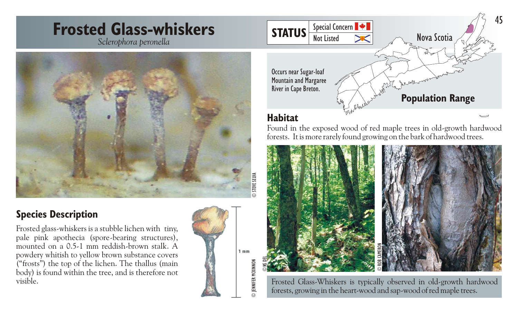# **Frosted Glass-whiskers** *Sclerophora peronella*



### **Species Description**

Frosted glass-whiskers is a stubble lichen with tiny, pale pink apothecia (spore-bearing structures), mounted on a 0.5-1 mm reddish-brown stalk. A powdery whitish to yellow brown substance covers ("frosts") the top of the lichen. The thallus (main body) is found within the tree, and is therefore not visible.





#### **Habitat**

Found in the exposed wood of red maple trees in old-growth hardwood forests. It is more rarely found growing on the bark of hardwood trees.



Frosted Glass-Whiskers is typically observed in old-growth hardwood forests, growing in the heart-wood and sap-wood of red maple trees.